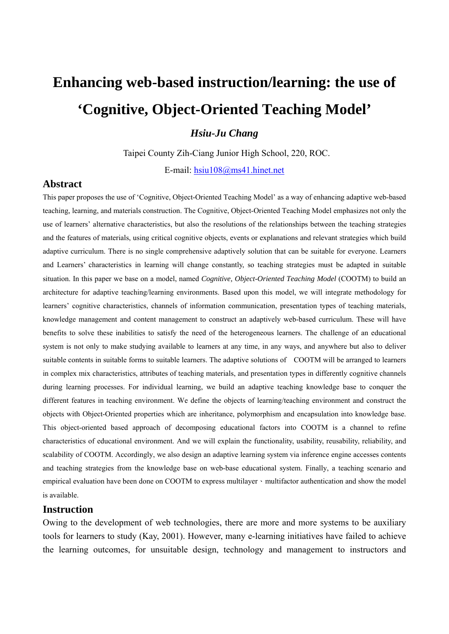# **Enhancing web-based instruction/learning: the use of 'Cognitive, Object-Oriented Teaching Model'**

# *Hsiu-Ju Chang*

Taipei County Zih-Ciang Junior High School, 220, ROC.

E-mail: [hsiu108@ms41.hinet.net](mailto:hsiu108@ms41.hinet.net)

#### **Abstract**

This paper proposes the use of 'Cognitive, Object-Oriented Teaching Model' as a way of enhancing adaptive web-based teaching, learning, and materials construction. The Cognitive, Object-Oriented Teaching Model emphasizes not only the use of learners' alternative characteristics, but also the resolutions of the relationships between the teaching strategies and the features of materials, using critical cognitive objects, events or explanations and relevant strategies which build adaptive curriculum. There is no single comprehensive adaptively solution that can be suitable for everyone. Learners and Learners' characteristics in learning will change constantly, so teaching strategies must be adapted in suitable situation. In this paper we base on a model, named *Cognitive, Object-Oriented Teaching Model* (COOTM) to build an architecture for adaptive teaching/learning environments. Based upon this model, we will integrate methodology for learners' cognitive characteristics, channels of information communication, presentation types of teaching materials, knowledge management and content management to construct an adaptively web-based curriculum. These will have benefits to solve these inabilities to satisfy the need of the heterogeneous learners. The challenge of an educational system is not only to make studying available to learners at any time, in any ways, and anywhere but also to deliver suitable contents in suitable forms to suitable learners. The adaptive solutions of COOTM will be arranged to learners in complex mix characteristics, attributes of teaching materials, and presentation types in differently cognitive channels during learning processes. For individual learning, we build an adaptive teaching knowledge base to conquer the different features in teaching environment. We define the objects of learning/teaching environment and construct the objects with Object-Oriented properties which are inheritance, polymorphism and encapsulation into knowledge base. This object-oriented based approach of decomposing educational factors into COOTM is a channel to refine characteristics of educational environment. And we will explain the functionality, usability, reusability, reliability, and scalability of COOTM. Accordingly, we also design an adaptive learning system via inference engine accesses contents and teaching strategies from the knowledge base on web-base educational system. Finally, a teaching scenario and empirical evaluation have been done on COOTM to express multilayer  $\cdot$  multifactor authentication and show the model is available.

## **Instruction**

Owing to the development of web technologies, there are more and more systems to be auxiliary tools for learners to study (Kay, 2001). However, many e-learning initiatives have failed to achieve the learning outcomes, for unsuitable design, technology and management to instructors and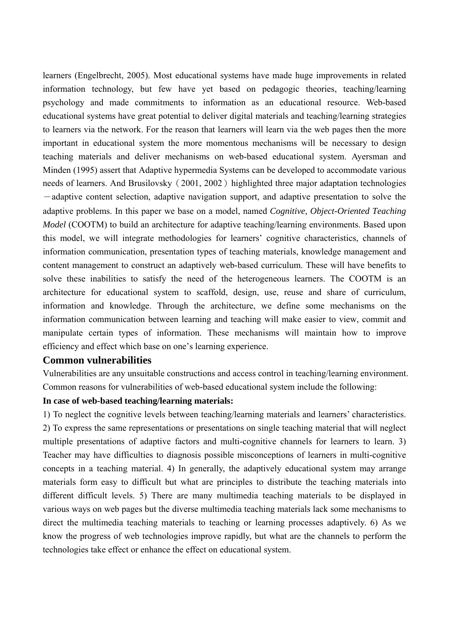learners (Engelbrecht, 2005). Most educational systems have made huge improvements in related information technology, but few have yet based on pedagogic theories, teaching/learning psychology and made commitments to information as an educational resource. Web-based educational systems have great potential to deliver digital materials and teaching/learning strategies to learners via the network. For the reason that learners will learn via the web pages then the more important in educational system the more momentous mechanisms will be necessary to design teaching materials and deliver mechanisms on web-based educational system. Ayersman and Minden (1995) assert that Adaptive hypermedia Systems can be developed to accommodate various needs of learners. And Brusilovsky (2001, 2002) highlighted three major adaptation technologies -adaptive content selection, adaptive navigation support, and adaptive presentation to solve the adaptive problems. In this paper we base on a model, named *Cognitive, Object-Oriented Teaching Model* (COOTM) to build an architecture for adaptive teaching/learning environments. Based upon this model, we will integrate methodologies for learners' cognitive characteristics, channels of information communication, presentation types of teaching materials, knowledge management and content management to construct an adaptively web-based curriculum. These will have benefits to solve these inabilities to satisfy the need of the heterogeneous learners. The COOTM is an architecture for educational system to scaffold, design, use, reuse and share of curriculum, information and knowledge. Through the architecture, we define some mechanisms on the information communication between learning and teaching will make easier to view, commit and manipulate certain types of information. These mechanisms will maintain how to improve efficiency and effect which base on one's learning experience.

## **Common vulnerabilities**

Vulnerabilities are any unsuitable constructions and access control in teaching/learning environment. Common reasons for vulnerabilities of web-based educational system include the following:

## **In case of web-based teaching/learning materials:**

1) To neglect the cognitive levels between teaching/learning materials and learners' characteristics. 2) To express the same representations or presentations on single teaching material that will neglect multiple presentations of adaptive factors and multi-cognitive channels for learners to learn. 3) Teacher may have difficulties to diagnosis possible misconceptions of learners in multi-cognitive concepts in a teaching material. 4) In generally, the adaptively educational system may arrange materials form easy to difficult but what are principles to distribute the teaching materials into different difficult levels. 5) There are many multimedia teaching materials to be displayed in various ways on web pages but the diverse multimedia teaching materials lack some mechanisms to direct the multimedia teaching materials to teaching or learning processes adaptively. 6) As we know the progress of web technologies improve rapidly, but what are the channels to perform the technologies take effect or enhance the effect on educational system.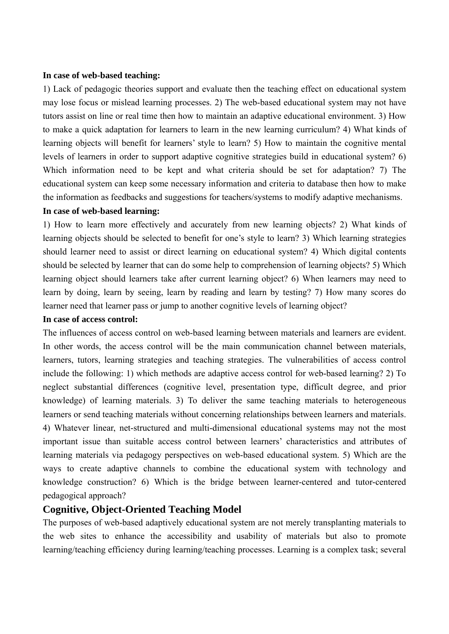#### **In case of web-based teaching:**

1) Lack of pedagogic theories support and evaluate then the teaching effect on educational system may lose focus or mislead learning processes. 2) The web-based educational system may not have tutors assist on line or real time then how to maintain an adaptive educational environment. 3) How to make a quick adaptation for learners to learn in the new learning curriculum? 4) What kinds of learning objects will benefit for learners' style to learn? 5) How to maintain the cognitive mental levels of learners in order to support adaptive cognitive strategies build in educational system? 6) Which information need to be kept and what criteria should be set for adaptation? 7) The educational system can keep some necessary information and criteria to database then how to make the information as feedbacks and suggestions for teachers/systems to modify adaptive mechanisms.

## **In case of web-based learning:**

1) How to learn more effectively and accurately from new learning objects? 2) What kinds of learning objects should be selected to benefit for one's style to learn? 3) Which learning strategies should learner need to assist or direct learning on educational system? 4) Which digital contents should be selected by learner that can do some help to comprehension of learning objects? 5) Which learning object should learners take after current learning object? 6) When learners may need to learn by doing, learn by seeing, learn by reading and learn by testing? 7) How many scores do learner need that learner pass or jump to another cognitive levels of learning object?

#### **In case of access control:**

The influences of access control on web-based learning between materials and learners are evident. In other words, the access control will be the main communication channel between materials, learners, tutors, learning strategies and teaching strategies. The vulnerabilities of access control include the following: 1) which methods are adaptive access control for web-based learning? 2) To neglect substantial differences (cognitive level, presentation type, difficult degree, and prior knowledge) of learning materials. 3) To deliver the same teaching materials to heterogeneous learners or send teaching materials without concerning relationships between learners and materials. 4) Whatever linear, net-structured and multi-dimensional educational systems may not the most important issue than suitable access control between learners' characteristics and attributes of learning materials via pedagogy perspectives on web-based educational system. 5) Which are the ways to create adaptive channels to combine the educational system with technology and knowledge construction? 6) Which is the bridge between learner-centered and tutor-centered pedagogical approach?

# **Cognitive, Object-Oriented Teaching Model**

The purposes of web-based adaptively educational system are not merely transplanting materials to the web sites to enhance the accessibility and usability of materials but also to promote learning/teaching efficiency during learning/teaching processes. Learning is a complex task; several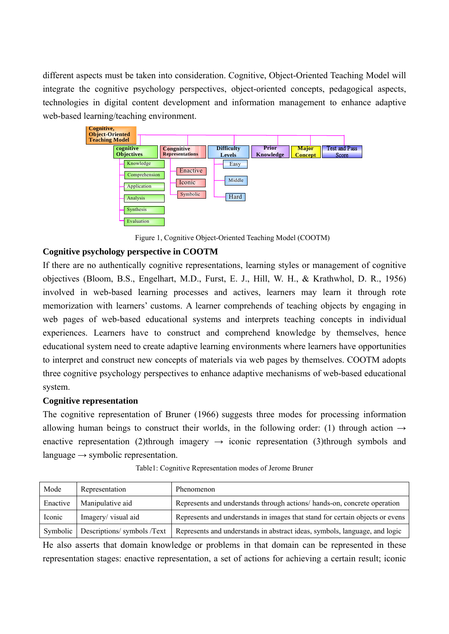different aspects must be taken into consideration. Cognitive, Object-Oriented Teaching Model will integrate the cognitive psychology perspectives, object-oriented concepts, pedagogical aspects, technologies in digital content development and information management to enhance adaptive web-based learning/teaching environment.



Figure 1, Cognitive Object-Oriented Teaching Model (COOTM)

## **Cognitive psychology perspective in COOTM**

If there are no authentically cognitive representations, learning styles or management of cognitive objectives (Bloom, B.S., Engelhart, M.D., Furst, E. J., Hill, W. H., & Krathwhol, D. R., 1956) involved in web-based learning processes and actives, learners may learn it through rote memorization with learners' customs. A learner comprehends of teaching objects by engaging in web pages of web-based educational systems and interprets teaching concepts in individual experiences. Learners have to construct and comprehend knowledge by themselves, hence educational system need to create adaptive learning environments where learners have opportunities to interpret and construct new concepts of materials via web pages by themselves. COOTM adopts three cognitive psychology perspectives to enhance adaptive mechanisms of web-based educational system.

## **Cognitive representation**

The cognitive representation of Bruner (1966) suggests three modes for processing information allowing human beings to construct their worlds, in the following order: (1) through action  $\rightarrow$ enactive representation (2)through imagery  $\rightarrow$  iconic representation (3)through symbols and language  $\rightarrow$  symbolic representation.

| Mode       | Representation              | Phenomenon                                                                   |
|------------|-----------------------------|------------------------------------------------------------------------------|
| Enactive   | Manipulative aid            | Represents and understands through actions/hands-on, concrete operation      |
| Iconic     | Imagery/ visual aid         | Represents and understands in images that stand for certain objects or evens |
| Symbolic 1 | Descriptions/ symbols /Text | Represents and understands in abstract ideas, symbols, language, and logic   |

Table1: Cognitive Representation modes of Jerome Bruner

He also asserts that domain knowledge or problems in that domain can be represented in these representation stages: enactive representation, a set of actions for achieving a certain result; iconic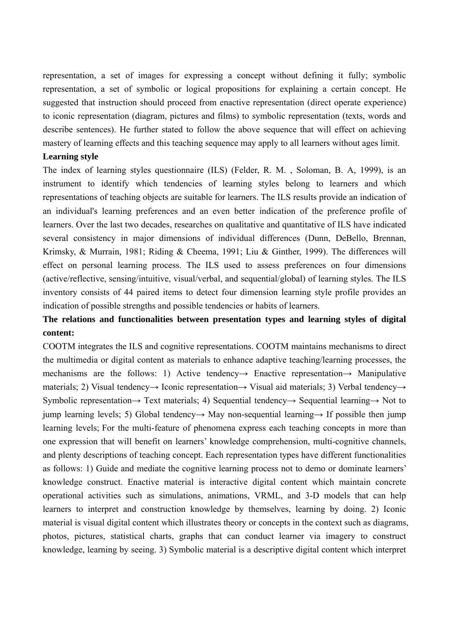representation, a set of images for expressing a concept without defining it fully; symbolic representation, a set of symbolic or logical propositions for explaining a certain concept. He suggested that instruction should proceed from enactive representation (direct operate experience) to iconic representation (diagram, pictures and films) to symbolic representation (texts, words and describe sentences). He further stated to follow the above sequence that will effect on achieving mastery of learning effects and this teaching sequence may apply to all learners without ages limit.

#### **Learning style**

The index of learning styles questionnaire (ILS) (Felder, R. M. , Soloman, B. A, 1999), is an instrument to identify which tendencies of learning styles belong to learners and which representations of teaching objects are suitable for learners. The ILS results provide an indication of an individual's learning preferences and an even better indication of the preference profile of learners. Over the last two decades, researches on qualitative and quantitative of ILS have indicated several consistency in major dimensions of individual differences (Dunn, DeBello, Brennan, Krimsky, & Murrain, 1981; Riding & Cheema, 1991; Liu & Ginther, 1999). The differences will effect on personal learning process. The ILS used to assess preferences on four dimensions (active/reflective, sensing/intuitive, visual/verbal, and sequential/global) of learning styles. The ILS inventory consists of 44 paired items to detect four dimension learning style profile provides an indication of possible strengths and possible tendencies or habits of learners.

# **The relations and functionalities between presentation types and learning styles of digital content:**

COOTM integrates the ILS and cognitive representations. COOTM maintains mechanisms to direct the multimedia or digital content as materials to enhance adaptive teaching/learning processes, the mechanisms are the follows: 1) Active tendency→ Enactive representation→ Manipulative materials; 2) Visual tendency→ Iconic representation→ Visual aid materials; 3) Verbal tendency→ Symbolic representation→ Text materials; 4) Sequential tendency→ Sequential learning→ Not to jump learning levels; 5) Global tendency→ May non-sequential learning→ If possible then jump learning levels; For the multi-feature of phenomena express each teaching concepts in more than one expression that will benefit on learners' knowledge comprehension, multi-cognitive channels, and plenty descriptions of teaching concept. Each representation types have different functionalities as follows: 1) Guide and mediate the cognitive learning process not to demo or dominate learners' knowledge construct. Enactive material is interactive digital content which maintain concrete operational activities such as simulations, animations, VRML, and 3-D models that can help learners to interpret and construction knowledge by themselves, learning by doing. 2) Iconic material is visual digital content which illustrates theory or concepts in the context such as diagrams, photos, pictures, statistical charts, graphs that can conduct learner via imagery to construct knowledge, learning by seeing. 3) Symbolic material is a descriptive digital content which interpret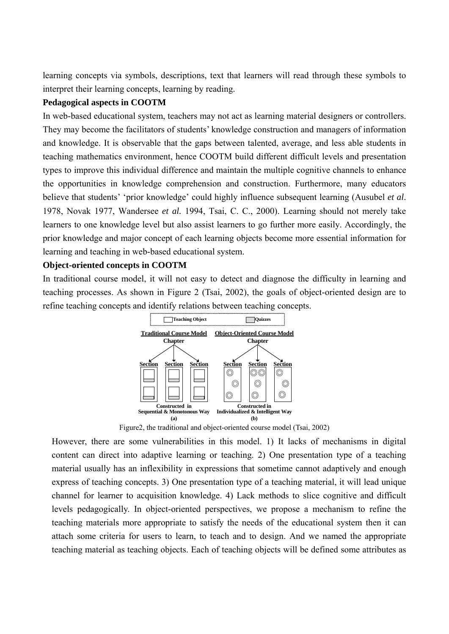learning concepts via symbols, descriptions, text that learners will read through these symbols to interpret their learning concepts, learning by reading.

#### **Pedagogical aspects in COOTM**

In web-based educational system, teachers may not act as learning material designers or controllers. They may become the facilitators of students' knowledge construction and managers of information and knowledge. It is observable that the gaps between talented, average, and less able students in teaching mathematics environment, hence COOTM build different difficult levels and presentation types to improve this individual difference and maintain the multiple cognitive channels to enhance the opportunities in knowledge comprehension and construction. Furthermore, many educators believe that students' 'prior knowledge' could highly influence subsequent learning (Ausubel *et al*. 1978, Novak 1977, Wandersee *et al.* 1994, Tsai, C. C., 2000). Learning should not merely take learners to one knowledge level but also assist learners to go further more easily. Accordingly, the prior knowledge and major concept of each learning objects become more essential information for learning and teaching in web-based educational system.

## **Object-oriented concepts in COOTM**

In traditional course model, it will not easy to detect and diagnose the difficulty in learning and teaching processes. As shown in Figure 2 (Tsai, 2002), the goals of object-oriented design are to refine teaching concepts and identify relations between teaching concepts.



Figure2, the traditional and object-oriented course model (Tsai, 2002)

However, there are some vulnerabilities in this model. 1) It lacks of mechanisms in digital content can direct into adaptive learning or teaching. 2) One presentation type of a teaching material usually has an inflexibility in expressions that sometime cannot adaptively and enough express of teaching concepts. 3) One presentation type of a teaching material, it will lead unique channel for learner to acquisition knowledge. 4) Lack methods to slice cognitive and difficult levels pedagogically. In object-oriented perspectives, we propose a mechanism to refine the teaching materials more appropriate to satisfy the needs of the educational system then it can attach some criteria for users to learn, to teach and to design. And we named the appropriate teaching material as teaching objects. Each of teaching objects will be defined some attributes as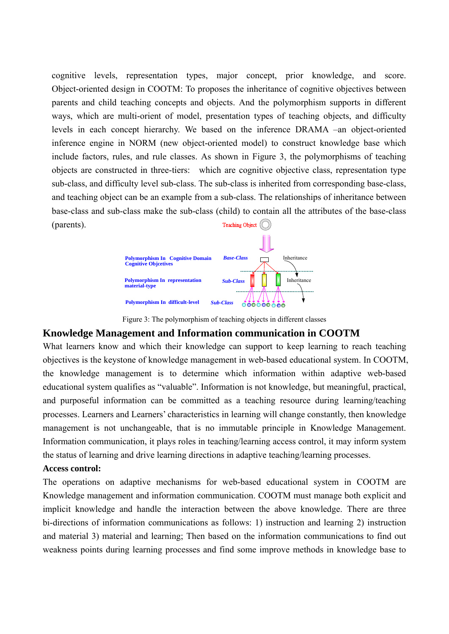cognitive levels, representation types, major concept, prior knowledge, and score. Object-oriented design in COOTM: To proposes the inheritance of cognitive objectives between parents and child teaching concepts and objects. And the polymorphism supports in different ways, which are multi-orient of model, presentation types of teaching objects, and difficulty levels in each concept hierarchy. We based on the inference DRAMA –an object-oriented inference engine in NORM (new object-oriented model) to construct knowledge base which include factors, rules, and rule classes. As shown in Figure 3, the polymorphisms of teaching objects are constructed in three-tiers: which are cognitive objective class, representation type sub-class, and difficulty level sub-class. The sub-class is inherited from corresponding base-class, and teaching object can be an example from a sub-class. The relationships of inheritance between base-class and sub-class make the sub-class (child) to contain all the attributes of the base-class (parents). Teaching Object (C)



Figure 3: The polymorphism of teaching objects in different classes

# **Knowledge Management and Information communication in COOTM**

What learners know and which their knowledge can support to keep learning to reach teaching objectives is the keystone of knowledge management in web-based educational system. In COOTM, the knowledge management is to determine which information within adaptive web-based educational system qualifies as "valuable". Information is not knowledge, but meaningful, practical, and purposeful information can be committed as a teaching resource during learning/teaching processes. Learners and Learners' characteristics in learning will change constantly, then knowledge management is not unchangeable, that is no immutable principle in Knowledge Management. Information communication, it plays roles in teaching/learning access control, it may inform system the status of learning and drive learning directions in adaptive teaching/learning processes.

#### **Access control:**

The operations on adaptive mechanisms for web-based educational system in COOTM are Knowledge management and information communication. COOTM must manage both explicit and implicit knowledge and handle the interaction between the above knowledge. There are three bi-directions of information communications as follows: 1) instruction and learning 2) instruction and material 3) material and learning; Then based on the information communications to find out weakness points during learning processes and find some improve methods in knowledge base to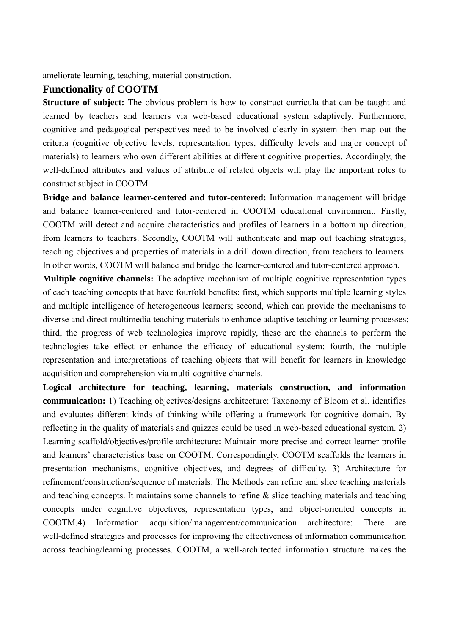ameliorate learning, teaching, material construction.

## **Functionality of COOTM**

**Structure of subject:** The obvious problem is how to construct curricula that can be taught and learned by teachers and learners via web-based educational system adaptively. Furthermore, cognitive and pedagogical perspectives need to be involved clearly in system then map out the criteria (cognitive objective levels, representation types, difficulty levels and major concept of materials) to learners who own different abilities at different cognitive properties. Accordingly, the well-defined attributes and values of attribute of related objects will play the important roles to construct subject in COOTM.

**Bridge and balance learner-centered and tutor-centered:** Information management will bridge and balance learner-centered and tutor-centered in COOTM educational environment. Firstly, COOTM will detect and acquire characteristics and profiles of learners in a bottom up direction, from learners to teachers. Secondly, COOTM will authenticate and map out teaching strategies, teaching objectives and properties of materials in a drill down direction, from teachers to learners. In other words, COOTM will balance and bridge the learner-centered and tutor-centered approach.

**Multiple cognitive channels:** The adaptive mechanism of multiple cognitive representation types of each teaching concepts that have fourfold benefits: first, which supports multiple learning styles and multiple intelligence of heterogeneous learners; second, which can provide the mechanisms to diverse and direct multimedia teaching materials to enhance adaptive teaching or learning processes; third, the progress of web technologies improve rapidly, these are the channels to perform the technologies take effect or enhance the efficacy of educational system; fourth, the multiple representation and interpretations of teaching objects that will benefit for learners in knowledge acquisition and comprehension via multi-cognitive channels.

**Logical architecture for teaching, learning, materials construction, and information communication:** 1) Teaching objectives/designs architecture: Taxonomy of Bloom et al. identifies and evaluates different kinds of thinking while offering a framework for cognitive domain. By reflecting in the quality of materials and quizzes could be used in web-based educational system. 2) Learning scaffold/objectives/profile architecture**:** Maintain more precise and correct learner profile and learners' characteristics base on COOTM. Correspondingly, COOTM scaffolds the learners in presentation mechanisms, cognitive objectives, and degrees of difficulty. 3) Architecture for refinement/construction/sequence of materials: The Methods can refine and slice teaching materials and teaching concepts. It maintains some channels to refine & slice teaching materials and teaching concepts under cognitive objectives, representation types, and object-oriented concepts in COOTM.4) Information acquisition/management/communication architecture: There are well-defined strategies and processes for improving the effectiveness of information communication across teaching/learning processes. COOTM, a well-architected information structure makes the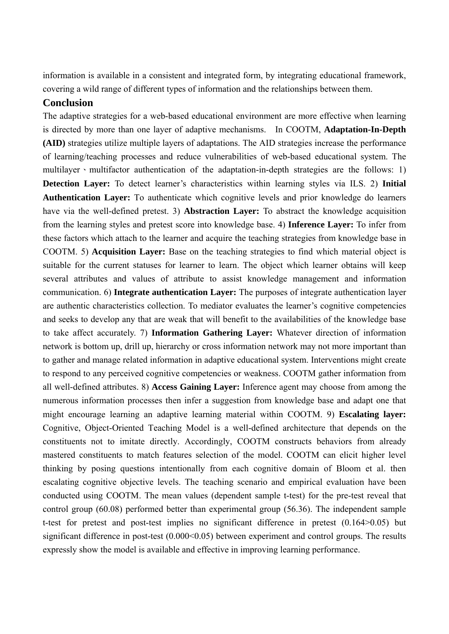information is available in a consistent and integrated form, by integrating educational framework, covering a wild range of different types of information and the relationships between them.

## **Conclusion**

The adaptive strategies for a web-based educational environment are more effective when learning is directed by more than one layer of adaptive mechanisms. In COOTM, **Adaptation-In-Depth (AID)** strategies utilize multiple layers of adaptations. The AID strategies increase the performance of learning/teaching processes and reduce vulnerabilities of web-based educational system. The multilayer multifactor authentication of the adaptation-in-depth strategies are the follows: 1) **Detection Layer:** To detect learner's characteristics within learning styles via ILS. 2) **Initial Authentication Layer:** To authenticate which cognitive levels and prior knowledge do learners have via the well-defined pretest. 3) **Abstraction Layer:** To abstract the knowledge acquisition from the learning styles and pretest score into knowledge base. 4) **Inference Layer:** To infer from these factors which attach to the learner and acquire the teaching strategies from knowledge base in COOTM. 5) **Acquisition Layer:** Base on the teaching strategies to find which material object is suitable for the current statuses for learner to learn. The object which learner obtains will keep several attributes and values of attribute to assist knowledge management and information communication. 6) **Integrate authentication Layer:** The purposes of integrate authentication layer are authentic characteristics collection. To mediator evaluates the learner's cognitive competencies and seeks to develop any that are weak that will benefit to the availabilities of the knowledge base to take affect accurately. 7) **Information Gathering Layer:** Whatever direction of information network is bottom up, drill up, hierarchy or cross information network may not more important than to gather and manage related information in adaptive educational system. Interventions might create to respond to any perceived cognitive competencies or weakness. COOTM gather information from all well-defined attributes. 8) **Access Gaining Layer:** Inference agent may choose from among the numerous information processes then infer a suggestion from knowledge base and adapt one that might encourage learning an adaptive learning material within COOTM. 9) **Escalating layer:**  Cognitive, Object-Oriented Teaching Model is a well-defined architecture that depends on the constituents not to imitate directly. Accordingly, COOTM constructs behaviors from already mastered constituents to match features selection of the model. COOTM can elicit higher level thinking by posing questions intentionally from each cognitive domain of Bloom et al. then escalating cognitive objective levels. The teaching scenario and empirical evaluation have been conducted using COOTM. The mean values (dependent sample t-test) for the pre-test reveal that control group (60.08) performed better than experimental group (56.36). The independent sample t-test for pretest and post-test implies no significant difference in pretest (0.164>0.05) but significant difference in post-test (0.000<0.05) between experiment and control groups. The results expressly show the model is available and effective in improving learning performance.